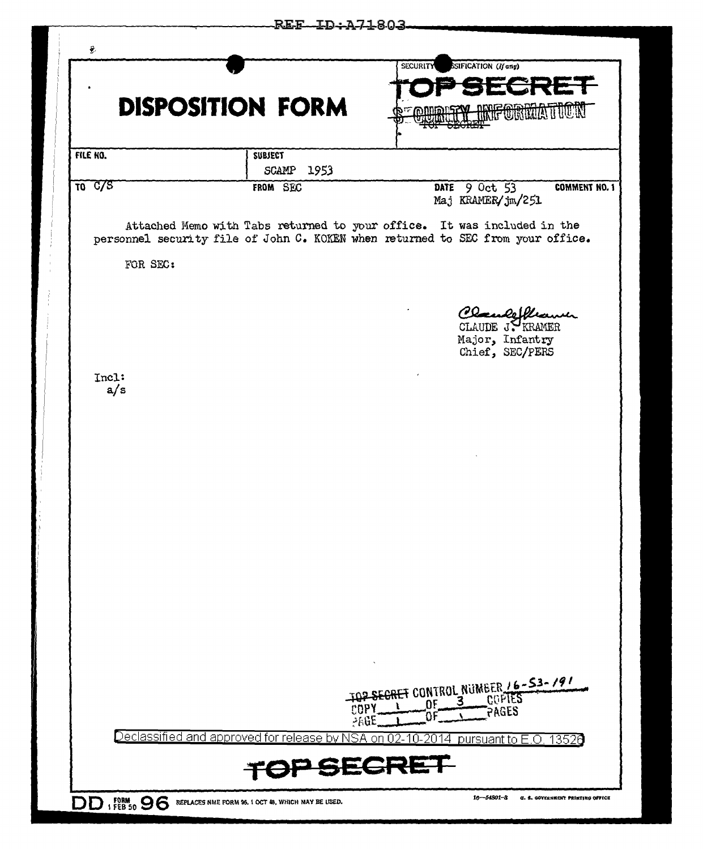|                                  | <b>DISPOSITION FORM</b>                                                         |                | <b>SECURITY</b>  | SSIFICATION (If any)                                                        |
|----------------------------------|---------------------------------------------------------------------------------|----------------|------------------|-----------------------------------------------------------------------------|
| FILE NO.                         |                                                                                 | <b>SUBJECT</b> |                  |                                                                             |
|                                  |                                                                                 | SCAMP 1953     |                  |                                                                             |
| $\overline{10}$ $\overline{C/S}$ |                                                                                 | FROM SEC       |                  | DATE 9 Oct 53<br><b>COMMENT NO. 1</b><br>Maj KRAMER/jm/251                  |
|                                  | personnel security file of John C. KOKEN when returned to SEC from your office. |                |                  | Attached Memo with Tabs returned to your office. It was included in the     |
|                                  | FOR SEC:                                                                        |                |                  |                                                                             |
|                                  |                                                                                 |                |                  | Placence Ulleawer<br>CLAUDE JY KRAMER<br>Major, Infantry<br>Chief, SEC/PERS |
| Incl:                            | a/s                                                                             |                |                  |                                                                             |
|                                  |                                                                                 |                |                  |                                                                             |
|                                  |                                                                                 |                |                  |                                                                             |
|                                  |                                                                                 |                |                  |                                                                             |
|                                  |                                                                                 |                |                  |                                                                             |
|                                  |                                                                                 |                |                  |                                                                             |
|                                  |                                                                                 |                |                  |                                                                             |
|                                  |                                                                                 |                |                  |                                                                             |
|                                  |                                                                                 |                | ۵F<br>286E       | TOP SECRET CONTROL NUMBER 16-53-191                                         |
|                                  | <u>Declassified and approved for release by NSA</u>                             |                | 2014<br>n.<br>on | <u>pursuant to E.O.</u><br>13526                                            |
|                                  |                                                                                 |                | 201              |                                                                             |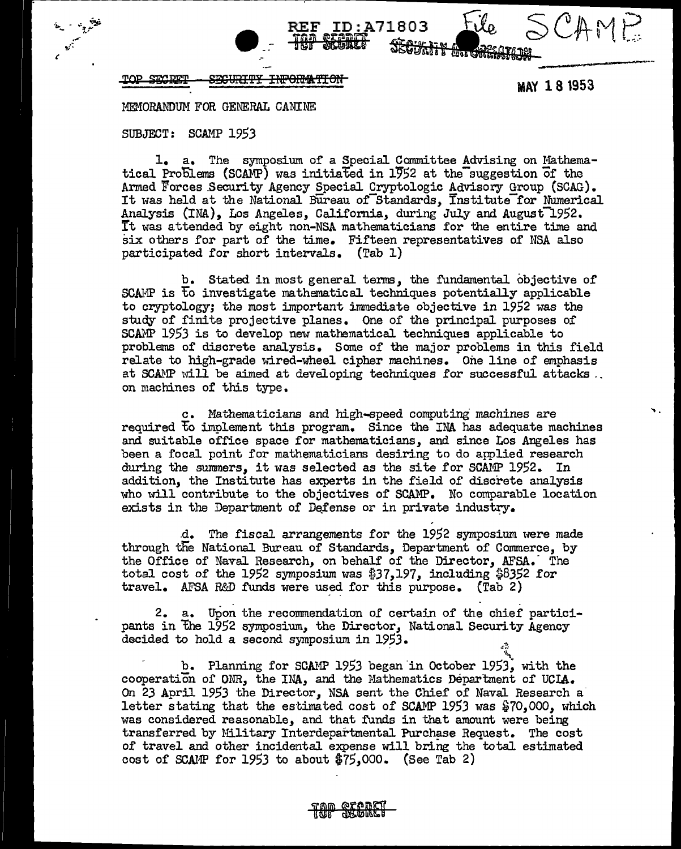$\sqrt{2\text{MSE}}$ 

SECRET <del>SECURITY</del> <del>INPORMATION</del>

MAY 18 1953

SCAMP

MEMORANDUM FOR GENERAL CANINE

#### SUBJECT: SCAMP 1953

1. a. The symposium of a Special Committee Advising on Mathematical Problems (SCAMP) was initiated in 1952 at the suggestion of the Armed Forces Security Agency Special Cryptologic Advisory Group (SCAG). It was held at the National Bureau of Standards, Institute for Numerical Analysis (INA), Los Angeles, California, during July and August 1952. It was attended by eight non-NSA mathematicians for the entire time and six others for part of the time. Fifteen representatives of NSA also participated for short intervals. (Tab 1)

ID:A71803

b. Stated in most general terms, the fundamental objective of SCAMP is to investigate mathematical techniques potentially applicable to cryptology; the most important immediate objective in 1952 was the study of finite projective planes. One of the principal purposes of SCAMP 1953 is to develop new mathematical techniques applicable to problems of discrete analysis. Some of the major problems in this field relate to high-grade wired-wheel cipher machines. One line of emphasis at SCAMP will be aimed at developing techniques for successful attacks. on machines of this type.

c. Mathematicians and high-speed computing machines are required to implement this program. Since the INA has adequate machines and suitable office space for mathematicians, and since Los Angeles has been a focal point for mathematicians desiring to do applied research during the summers, it was selected as the site for SCAMP 1952. In addition, the Institute has experts in the field of discrete analysis who will contribute to the objectives of SCAMP. No comparable location exists in the Department of Defense or in private industry.

d. The fiscal arrangements for the 1952 symposium were made through the National Bureau of Standards, Department of Commerce, by the Office of Naval Research, on behalf of the Director, AFSA. The total cost of the 1952 symposium was \$37,197, including \$8352 for travel. AFSA R&D funds were used for this purpose. (Tab 2)

2. a. Upon the recommendation of certain of the chief participants in the 1952 symposium, the Director, National Security Agency decided to hold a second symposium in 1953.

b. Planning for SCAMP 1953 began in October 1953, with the cooperation of ONR, the INA, and the Mathematics Department of UCLA. On 23 April 1953 the Director. NSA sent the Chief of Naval Research a letter stating that the estimated cost of SCAMP 1953 was \$70,000, which was considered reasonable, and that funds in that amount were being transferred by Military Interdepartmental Purchase Request. The cost of travel and other incidental expense will bring the total estimated cost of SCAMP for 1953 to about  $$75,000.$  (See Tab 2)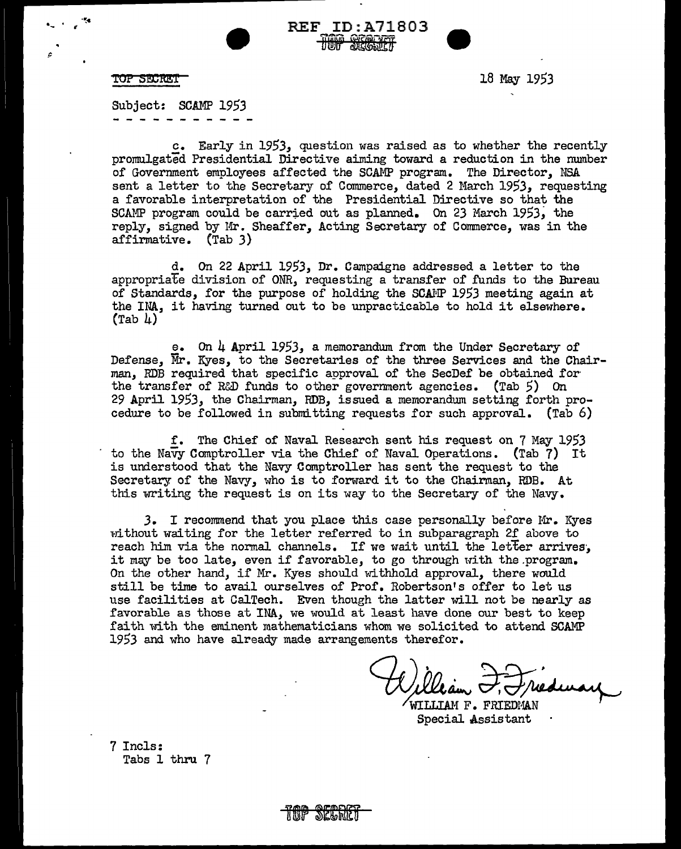

•- ' ~ **·'!c** 

**TOP 5!t:m!:T** 18 May 1953

Subject: SCAMP 1953

c. Early in 1953, question was raised as to whether the recently promulgated Presidential Directive aiming toward a reduction in the number of Government employees affected the SCAMP program. The Director, NSA sent a letter to the Secretary of Commerce, dated 2 March 1953, requesting a favorable interpretation of the Presidential Directive so that the SCAMP program could be carried out as planned. On 23 March 1953; the reply, signed by Mr. Sheaffer, Acting Secretary of Commerce, was in the affirmative. (Tab 3)

• REF ID:A71803 **HOO TELL** 

d. On 22 April 1953, Dr. Campaigne addressed a letter to the appropriate division of ONR, requesting a transfer of funds to the Bureau of Standards, for the purpose of holding the SCAMP 1953 meeting again at the INA, it having turned out to be unpracticable to hold it elsewhere.  $(Tab 4)$ 

e. On 4 April 1953, a memorandum from the Under Secretary of Defense, Mr. Kyes, to the Secretaries of the three Services and the Chairman, RDB required that specific approval of the SecDef be obtained for the transfer of R&D funds to other government agencies. (Tab 5) On 29 April 1953, the Chairman, RDB, issued a memorandum setting forth procedure to be followed in submitting requests for such approval. (Tab  $6)$ 

f. The Chief of Naval Research sent his request on 7 May 1953 to the Navy Comptroller via the Chief of Naval Operations. (Tab 7) It is understood that the Navy Comptroller has sent the request to the Secretary of the Navy, who is to forward it to the Chairman, RDB. At this writing the request is on its way to the Secretary of the Navy.

*3.* I recommend that you place this case personally before Hr. Kyes without waiting for the letter referred to in subparagraph 2f above to reach him via the normal channels. If we wait until the letter arrives, it may be too late, even if favorable, to go through with the program. On the other hand, if Mr. Kyes should withhold approval, there would still be time to avail ourselves of Prof. Robertson's offer to let us use facilities at CalTech. Even though the latter will not be nearly as favorable as those at INA, we would at least have done our best to keep faith with the eminent mathematicians whom we solicited to attend SCAMP 1953 and who have already made arrangements therefor.

William <del>I. I</del>nedway

7 Incls: Tabs 1 thru 7

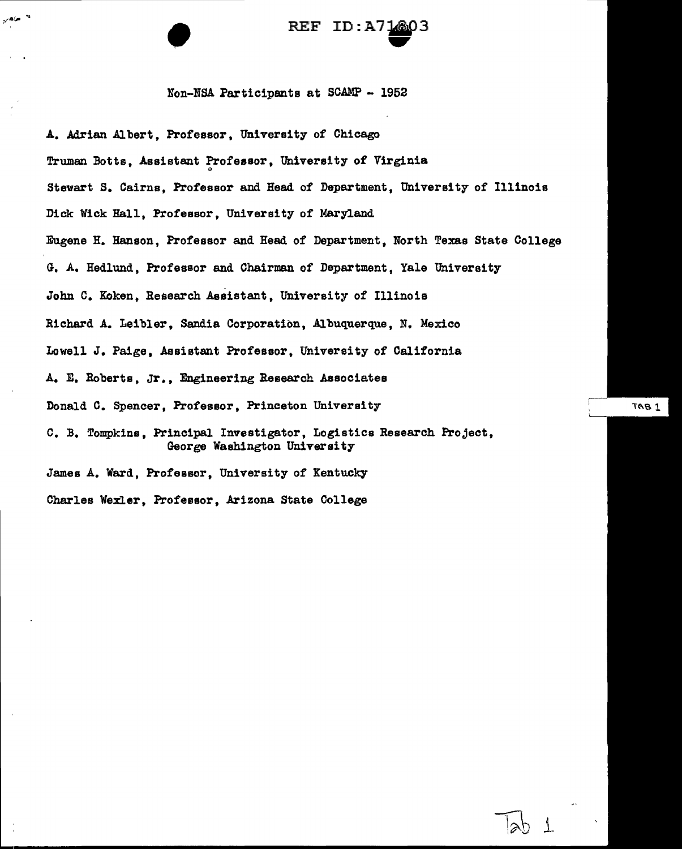# REF ID:A71803 ...

#### Non-NSA Participants at SCAMP - 1952

A. Adrian Albert, Professor, University of Chicago Truman Botts, Assistant Professor, University of Virginia Stewart s. Cairns, Professor and Head of Department, University of Illinois Dick Wick Hall, Professor, University of Maryland Eugene H. Hanson, Professor and Head of Department, North Texas State College G. A. Hedlund, Professor and Chairman of Department, Yale University John c. Koken, Reeearch Assistant, University of Illinois Richard A. Leibler, Sandia Corporation, Albuquerque, N. Mexico Lowell J. Paige, Assistant Professor, University of California A. E. Roberts, Jr., Engineering Research Associates Donald C. Spencer, Professor, Princeton University c. *B.* Tompkins, Principal. Investigator, Logistics Research Project, George Washington University James A. Ward, Professor, University of Kentucky Charles Wexler, Professor, Arizona State College

 $TAB1$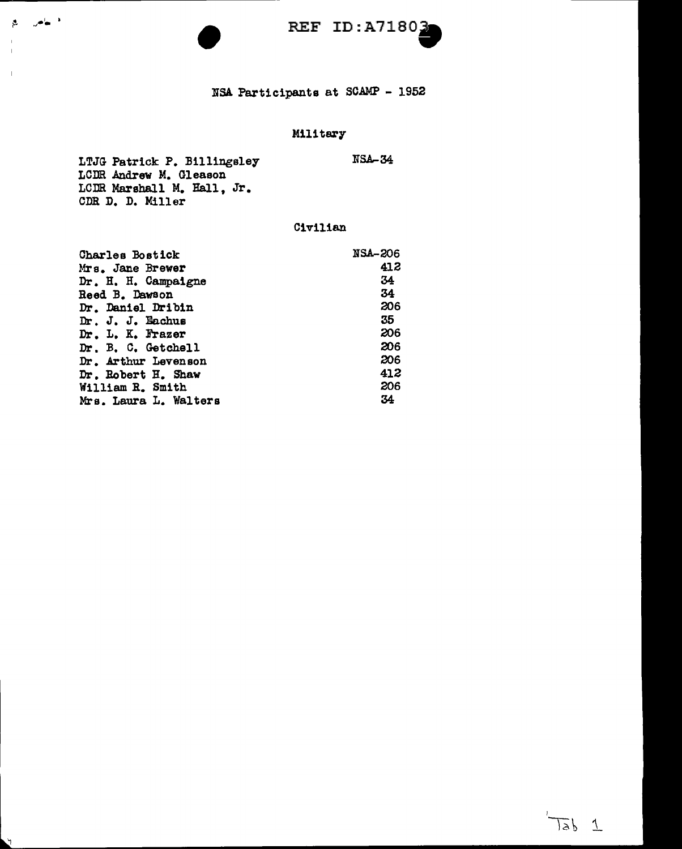# NSA Participants at SCAMP - 1952

# Military

LTJG Patrick P. Billingsley LCilR Andrew M. Gleason LCDR Marshall M. Hall, Jr. CDR D. D. Miller NSA-34

الأنهاض الع

Ĥ.

#### Civilian

| Charles Bostick       | <b>NSA-206</b> |
|-----------------------|----------------|
| Mrs. Jane Brewer      | 412            |
| Dr. H. H. Campaigne   | 34             |
| <b>Reed B. Dawson</b> | 34             |
| Dr. Daniel Dribin     | 206            |
| Dr. J. J. Eachus      | 35             |
| Dr. L. K. Frazer      | 206            |
| Dr. B. C. Getchell    | 206            |
| Dr. Arthur Levenson   | 206            |
| Dr. Robert H. Shaw    | 412            |
| William R. Smith      | 206            |
| Mrs. Laura L. Walters | 34             |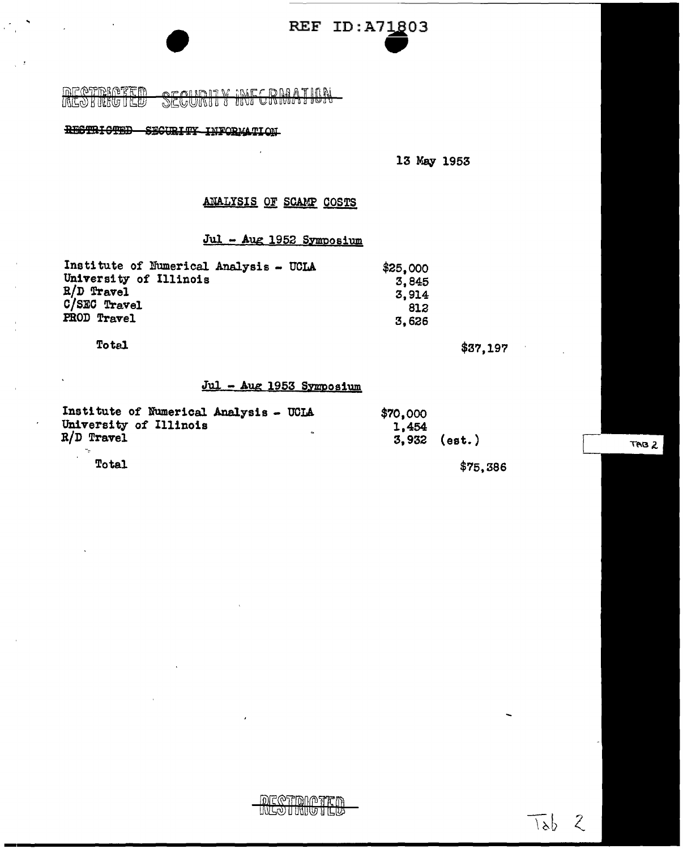**• REF ID:A71803** 

<u>DECERMENT DE DI</u><br>LALO HUNGULO

# RESTRICTED SECURITY INFORMATION

13 May 1953

# ANALYSIS OF SCAMP COSTS

 $\cdot$ 

# Jul - Aug 1952 SYmposium

| Institute of Numerical Analysis - UCLA | \$25,000 |
|----------------------------------------|----------|
| University of Illinois                 | 3.845    |
| $R/D$ Travel                           | 3.914    |
| C/SEC Travel                           | 812      |
| PROD Travel                            | 3.626    |

Total

 $\ddot{\phantom{0}}$ 

 $\mathcal{F}_\mu$ 

 $\gamma_{\rm c}$  ,  $\beta$ 

\$37,197

 $\sim$   $\star$ 

#### $Jul - Aug 1953 Symposition$

| Institute of Numerical Analysis - UCLA<br>University of Illinois<br>$R/D$ Travel | $\bullet$ | \$70,000<br>1,454 | $3,932$ (est.) |
|----------------------------------------------------------------------------------|-----------|-------------------|----------------|
| Total                                                                            |           |                   | \$75,386       |

TAB<sub>2</sub>

 $\frac{1}{\sqrt{2}}$  ,  $\frac{1}{\sqrt{2}}$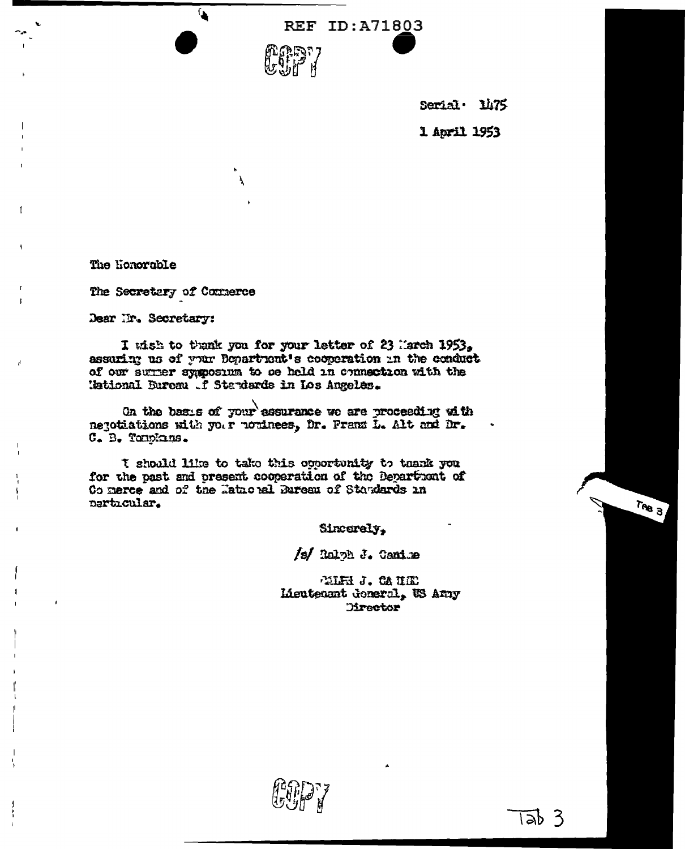

Serial 1475 1 April 1953

The Honorable

The Secretary of Connerce

 $\mathbf{A}$ 

Dear Ir. Secretary:

I wish to thank you for your letter of 23 March 1953, assuring us of your Department's cooperation in the conduct of our surrer symposium to be held in connection with the Hational Bureau f Standards in Los Angeles.

On the basis of your assurance we are proceeding with negotiations with your noninees, Dr. Franz L. Alt and Dr. C. B. Tomplans.

I should like to take this opportunity to thank you for the past and present cooperation of the Department of Connerce and of the Tatuoral Bureau of Standards in particular.

Sincerely.

/s/ Ralph J. Canime

THE J. CAILD Lieutenant deneral, WS Amy **Director** 

 $T_{AB}$  3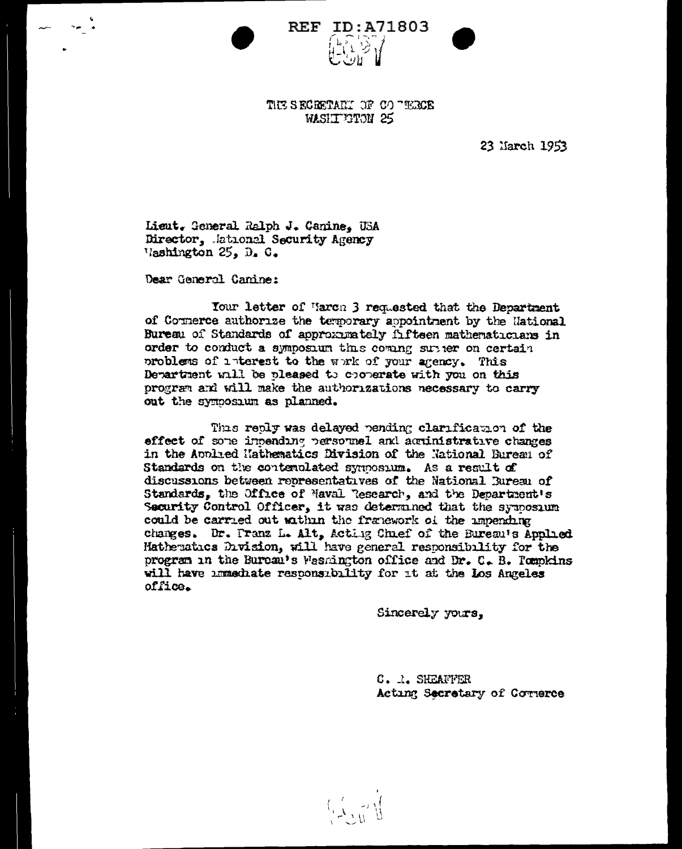| $\mathbf{r}_{\mathbf{D}}$ | :A7180 |  |  |
|---------------------------|--------|--|--|
| ょとって                      |        |  |  |
|                           | .Y 11  |  |  |

THE SECRETARY OF CO TERCE **WASHIT GTON 25** 

**REF** 

23 March 1953

Lieut. General Ralph J. Canine, USA Director, Jational Security Agency Vashington 25, D. C.

Dear General Canine:

Your letter of March 3 requested that the Department of Counerce authorize the temporary appointment by the National Bureau of Standards of approximately fifteen mathematicians in order to conduct a symposium this coming subject on certain problems of interest to the work of your agency. This Department will be pleased to cooperate with you on this program and will make the authorizations necessary to carry out the symposium as planned.

This realy was delayed pending clarification of the effect of some inneading personnel and acuinistrative changes in the Applied Hathematics Division of the National Bureau of Standards on the contenulated symposum. As a result of discussions between representatives of the National Bureau of Standards, the Office of Maval Research, and the Department's Security Control Officer, it was determined that the symposium could be carried out within the franework of the impending changes. Dr. Franz L. Alt, Acting Chnef of the Bureau's Applied Matheratics Division, will have general responsibility for the program in the Bureau's Washington office and Dr. C. B. Tompkins will have immediate responsibility for it at the los Angeles office.

Sincerely yours.

C. I. SHEAFFER Acting Secretary of Cornerce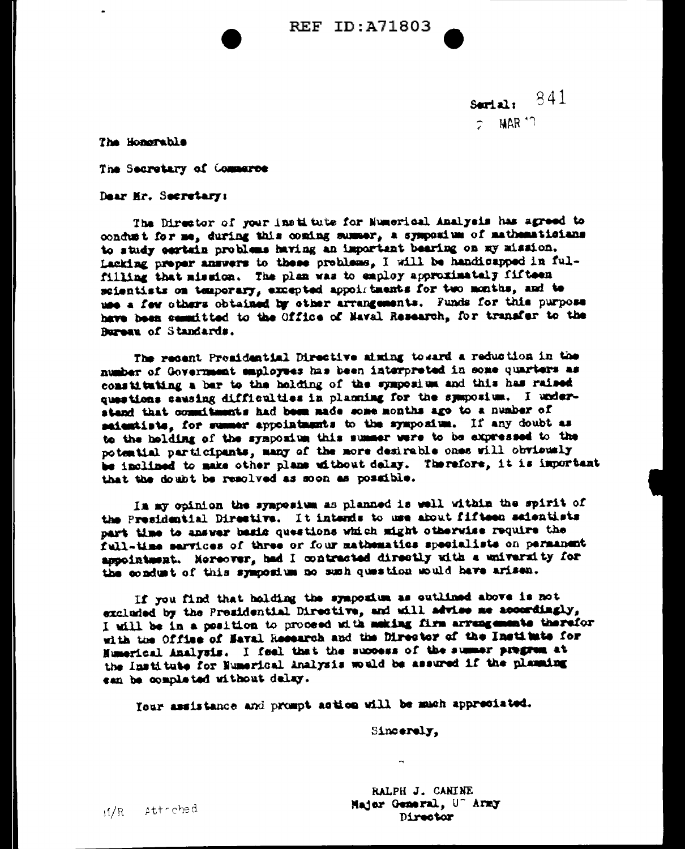Serial: 841  $\tau$  MAR  $^{\prime}$  1

The Honorable

The Secretary of Commerce

Dear Hr. Secretary:

The Director of your institute for Numerical Analysis has agreed to condust for me, during this coming summer, a symposium of mathematicians to study certain problems having an important bearing on my mission. Lacking preper answers to these problems. I will be handicapped in fulfilling that mission. The plan was to employ approximately fifteen scientists on temporary, excepted appoirtments for two months, and te use a few others obtained by other arrangements. Funds for this purpose have been cassitted to the Office of Naval Research, for transfer to the Rureau of Standards.

The recent Promidential Directive aiming toward a reduction in the number of Government employees has been interpreted in some quarters as constituting a bar to the holding of the symposium and this has raised questions causing difficulties in planning for the symposium. I understand that commitments had been made some months ago to a number of saientists, for summer appointments to the symposium. If any doubt as to the holding of the symposium this summer were to be expressed to the potential participants, many of the more desirable ones will obviously be inclined to make other plans without delay. Therefore, it is important that the doubt be resolved as soon as possible.

In my opinion the symposium as planned is well within the spirit of the Presidential Directive. It intends to use about fifteen saientists part time to answer basis questions which might otherwise require the full-time services of three or four mathematics specialists on permanent appointment. Noreover, had I contracted directly with a university for the condust of this symposium no such question would have arisen.

If you find that holding the symposium as outlined above is not excluded by the Presidential Directive, and will advise me accordingly, I will be in a position to proceed with making firm arrangements therefor with the Office of Naval Recearch and the Director of the Institute for Numerical Analysis. I feel that the success of the summer pregrem at the Institute for Numerical Analysis would be assured if the planning can be completed without delay.

Your assistance and prompt action will be much appreciated.

Sincerely,

RALPH J. CANINE Hajor General, U" Army Director

ii/R Attrched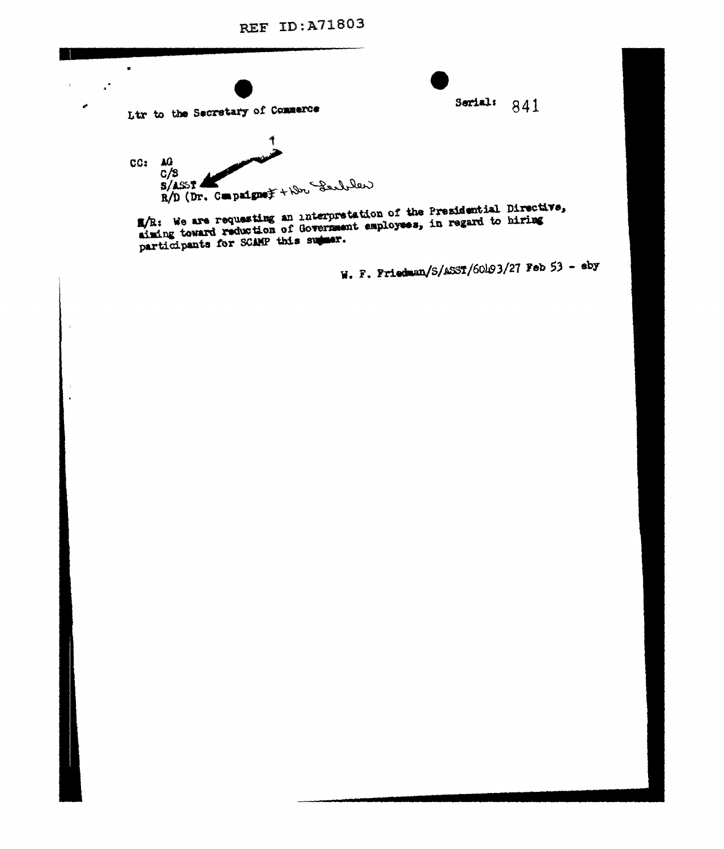Ltr to the Secretary of Commerce  $CC:  $AG$$  $C/3$  $R/D$  (Dr. Compaigne) +  $N$  Section

 $\mathbf{r}$ 

 $\bar{1}$ 

**d** 

M/R: We are requesting an interpretation of the Presidential Directive,<br>aiming toward reduction of Government employees, in regard to hiring participants for SCAMP this summer.

W. F. Friedman/S/ASST/60h93/27 Feb 53 - eby

Serial:  $841$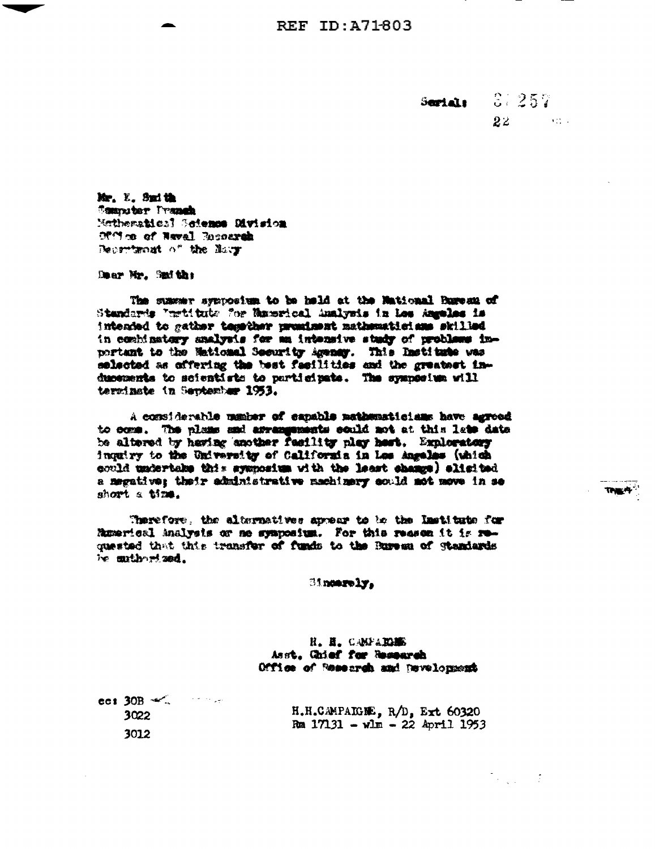$-37.257$ Serials  $22$  and  $22$ 

 $\mathbb{R}^2$  , and  $\mathbb{R}^2$ 

Mr. E. Smith **Computer Pranch** Methematics! Science Division Office of Naval Recoursh Department of the lines

Dear Mr. Smith;

The summer syncosium to be held at the Mational Bureau of Standards "mrtitute for Manerical Analysis in Les Angeles is intended to gather temether prominent mathematicians skilled in combinatory analysis for an intensive study of problems inportant to the Maticaal Security Agency. This Institute was selected as offering the best facilities and the greatest inducements to scientists to participate. The sympesium will terminate in September 1953.

A commiderable manker of capable mathematicians have agreed to come. The plans and arrangements sould not at this late date be altered by having another resility play hert. Exploratory inquiry to the University of California in Les Angeles (which could undertake this symposium with the least champs) elisited a megative; their administrative machinery sould not move in se short a time.

Therefore, the alternatives appear to be the Immittate for Remerical Analysis or no symposium. For this reason it is requested that this transfer of funds to the Bureau of Standards be mulbert sed.

Sincerely,

H. H. CANFAILES Asst, Chief for Research Office of Research and Development

| $\cot 30B \ll 1$ |                                    |
|------------------|------------------------------------|
| 3022             | H.H.CAMPAIGNE, $R/D$ , Ext 60320   |
| 3012             | Rm $17131 - v \ln - 22$ April 1953 |

**The 4<sup>4</sup>**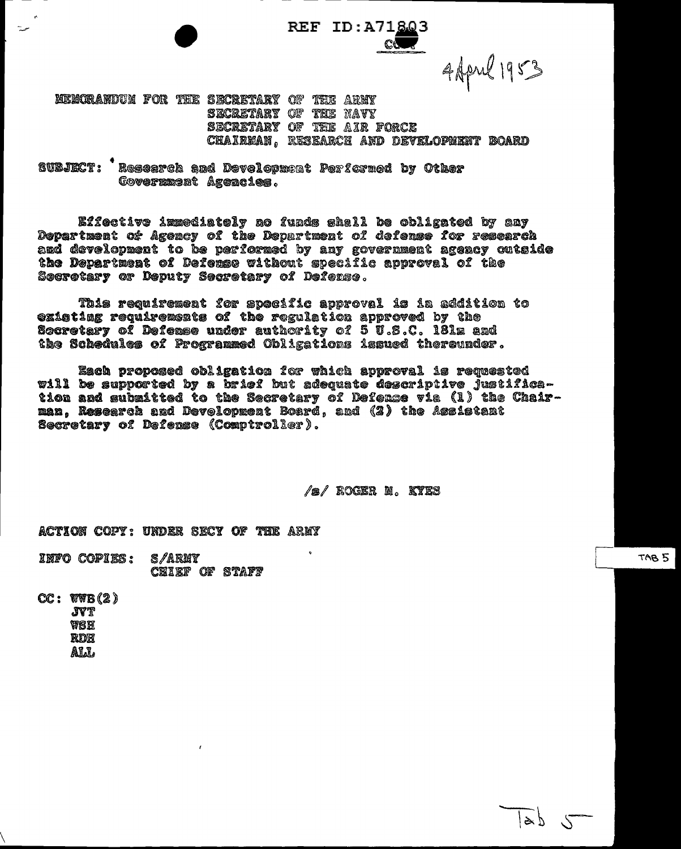CO

4 April 1953

MEMORANDUM FOR THE SECRETARY OF THE ARMY SECRETARY OF THE NAVY SECRETARY OF THE AIR FORCE CHAIREAN. RESEARCH AND DEVELOPMENT BOARD

SUBJECT: Rescarch and Devolopment Performed by Other Covernment Agencies.

Effective immediately no funds shall be obligated by any Department of Agency of the Department of defense for research and development to be performed by any government agency outside the Department of Defense without specific approval of the Secretary or Deputy Secretary of Defense.

This requirement for specific approval is in addition to existing requirements of the regulation approved by the Socretary of Defense under authority of 5 U.S.C. 181m and the Schedules of Programmed Obligations issued thereunder.

Each proposed obligation for which approval is requested will be supported by a brief but adequate descriptive justification and submitted to the Secretary of Defense via (1) the Chairman, Research and Development Board, and (2) the Assistant Secretary of Defense (Comptroller).

/s/ Rockr M. KYKS

ACTION COPY: UNDER SECY OF THE ARMY

INFO COPIES: s/army CHIEF OF STAFF

 $CC: WWB(2)$ **JVT** WSH RDR **ALL** 

TAB<sub>5</sub>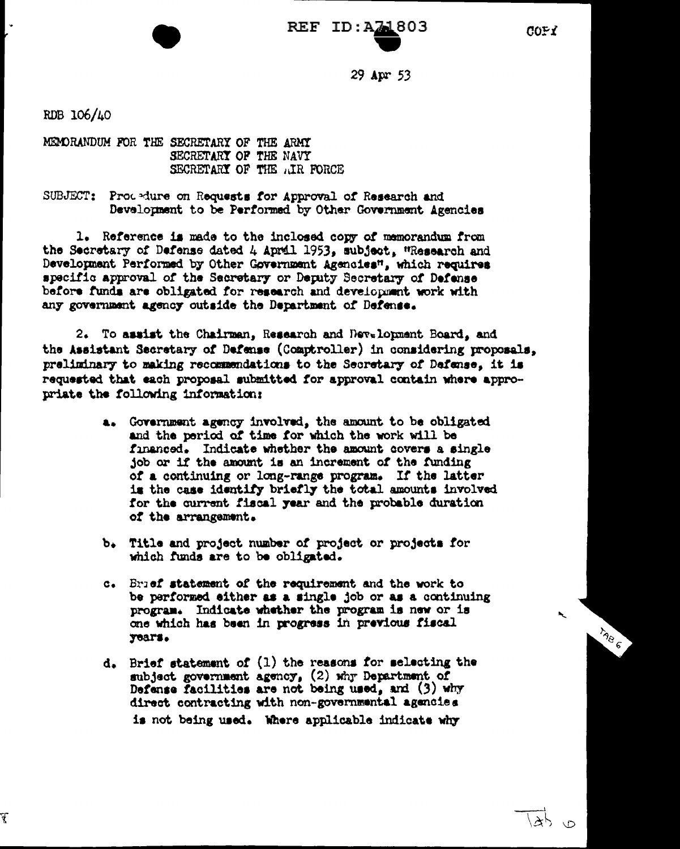$COF$ 

 $29$  Apr  $53$ 

RDB 106/40

F

MEMORANDUM FOR THE SECRETARY OF THE ARMY SECRETARY OF THE NAVY SECRETARY OF THE AIR FORCE

SUBJECT: Prodedure on Requests for Approval of Research and Development to be Performed by Other Government Agencies

1. Reference is made to the inclosed copy of memorandum from the Secretary of Defense dated 4 April 1953, subject, "Research and Development Performed by Other Government Agencies", which requires specific approval of the Secretary or Deputy Secretary of Defense before funds are obligated for research and development work with any government agency outside the Department of Defense.

2. To assist the Chairman, Research and Development Board, and the Assistant Secretary of Defense (Comptroller) in considering proposals, preliminary to making recommendations to the Secretary of Dafanse, it is requested that each proposal submitted for approval contain where appropriate the following information:

- a. Government agency involved, the amount to be obligated and the period of time for which the work will be financed. Indicate whether the amount covers a single job or if the amount is an increment of the funding of a continuing or long-range program. If the latter is the case identify briefly the total amounts involved for the current fiscal year and the probable duration of the arrangement.
- b. Title and project number of project or projects for which funds are to be obligated.
- c. Brief statement of the requirement and the work to be performed either as a single job or as a continuing program. Indicate whether the program is new or is one which has been in progress in previous fiscal years.
- d. Brief statement of (1) the reasons for selecting the subject government agency, (2) why Department of Defense facilities are not being used, and (3) why direct contracting with non-governmental agencies is not being used. Where applicable indicate why

TAB 6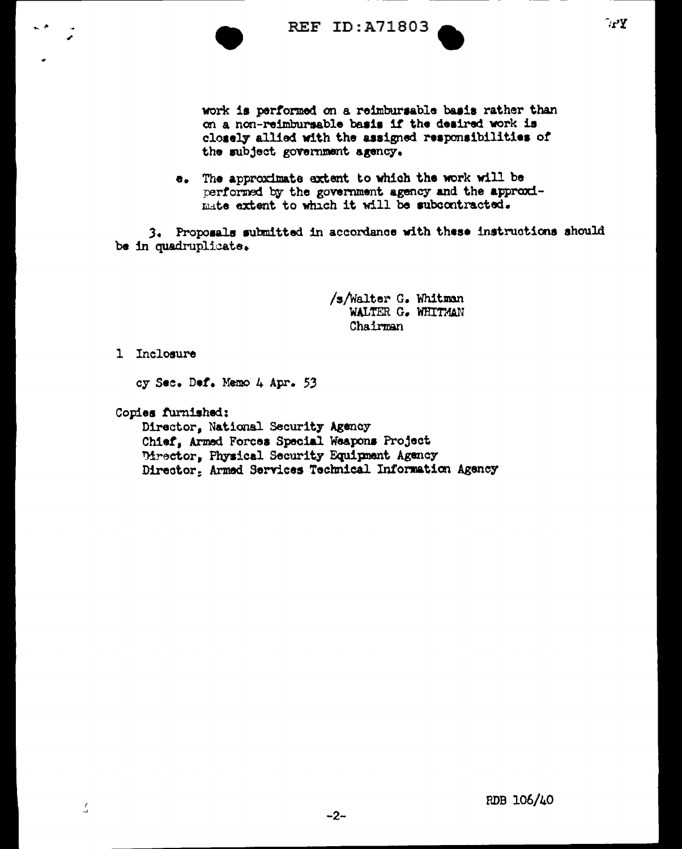

work is performed on a reimbursable basis rather than on a non-reimbursable basis if the desired work is closely allied with the assigned responsibilities of the subject government agency.

e. The approximate extent to which the work will be performed by the government agency and the approximate extent to which it will be subcontracted.

3. Proposals submitted in accordance with these instructions should be in quadruplicate.

> /s/Walter G. Whitman WALTER G. WHITMAN Chairman

1 Inclosure

cy Sec. Def. Memo 4 Apr. 53

Copies furnished:

Director, National Security Agency Chief, Armed Forces Special Weapons Project Director, Physical Security Equipment Agency Director. Armed Services Technical Information Agency

 $-2-$ 

 $\mathcal{L}$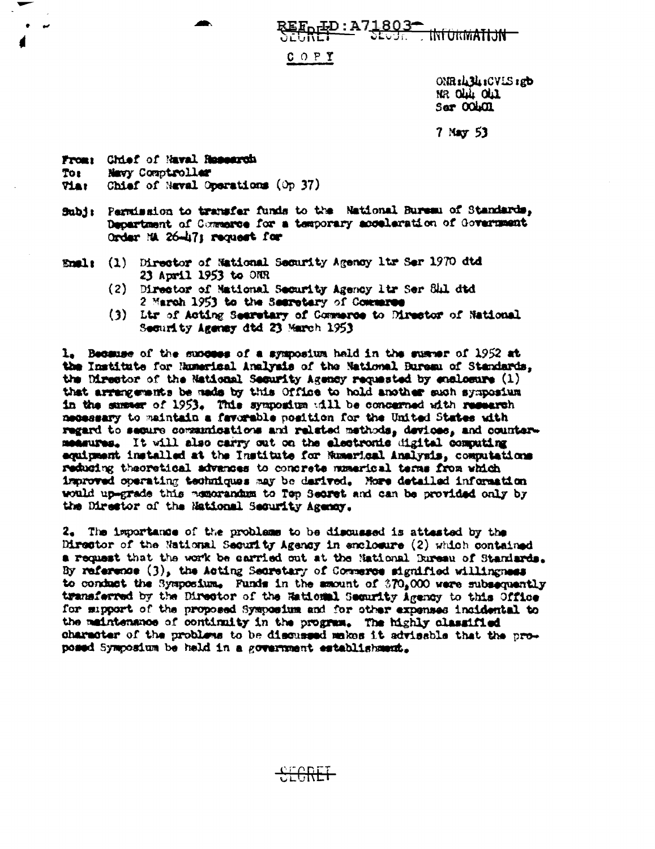<u> ID:A71803-</u> tNform<del>atijn -</del>

 $C$  O P  $Y$ 

ONR:434:CVLS:gb NR OLL OLL Ser OOLOL

 $7$  May  $53$ 

From: Chief of Naval Research To: Navy Comptroller

Tiar Chief of Naval Operations (Op 37)

- Subj: Permission to transfer funds to the National Bureau of Standards, Department of Commerce for a temporary acceleration of Government Order NA 26-47; request for
- (1) Director of National Security Agency 1tr Ser 1970 dtd Emals 23 April 1953 to ONR
	- (2) Director of Mational Security Agency ltr Ser Shl dtd 2 March 1953 to the Searetary of Commerce
	- (3) Ltr of Acting Searctary of Commerce to Director of National Security Agency dtd 23 March 1953

1. Because of the success of a symposium hald in the summer of 1952 at the Institute for Rumerical Analysis of the National Bureau of Standards, the Director of the National Security Agency requested by enclosure (1) that arrangements be made by this Office to hold another such symposium in the summer of 1953. This symposium will be concerned with research necessary to maintain a favorable position for the United States with regard to secure communications and related methods, devices, and countermeasures. It will also carry out on the electronic digital computing equipment installed at the Institute for Muserical Analysis, computations reducing theoretical advances to concrete numerical terms from which improved operating techniques may be derived. More detailed information would up-grade this memorandum to Top Secret and can be provided only by the Director of the Mational Security Agency.

2. The importance of the problems to be discussed is attested by the Director of the National Security Agency in enclosure (2) which contained a request that the work be carried out at the National Dureau of Standards. By reference (3), the Acting Secretary of Commerce signified willingness to conduct the Symposium. Funds in the amount of  $370<sub>2</sub>000$  were subsequently transferred by the Director of the Rational Security Agency to this Office for support of the proposed Symposium and for other expenses insidental to the maintenance of continuity in the program. The highly classified character of the problems to be discussed makes it advisable that the proposed Symposium be held in a government establishment.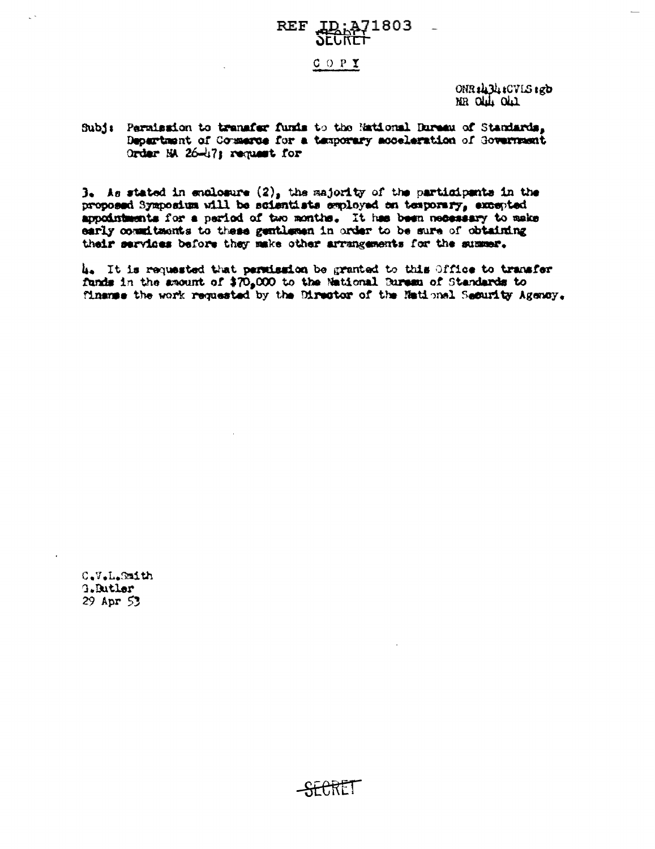### A71803, **REF**

#### $COPY$

ONR #134 : CVLS 1gb MR OLL OLL

#### Subj: Parmission to transfer funds to the Mational Dureau of Standards, Department of Counsrue for a temporary acceleration of Government Order NA 26-17; request for

 $3.4s$  stated in enclosure  $(2)_s$  the majority of the participants in the proposed Symposium will be scientists employed on temporary, excepted appointments for a pariod of two months. It has been necessary to make early commitments to these gentlemen in order to be sure of obtaining their services before they make other arrangements for the summer.

4. It is requested that permission be granted to this Office to transfer funds in the amount of \$70,000 to the National Bureau of Standards to finance the work requested by the Director of the National Security Agency.

C.V.L.Smith G.Butler 29 Apr 53

 $-HHET$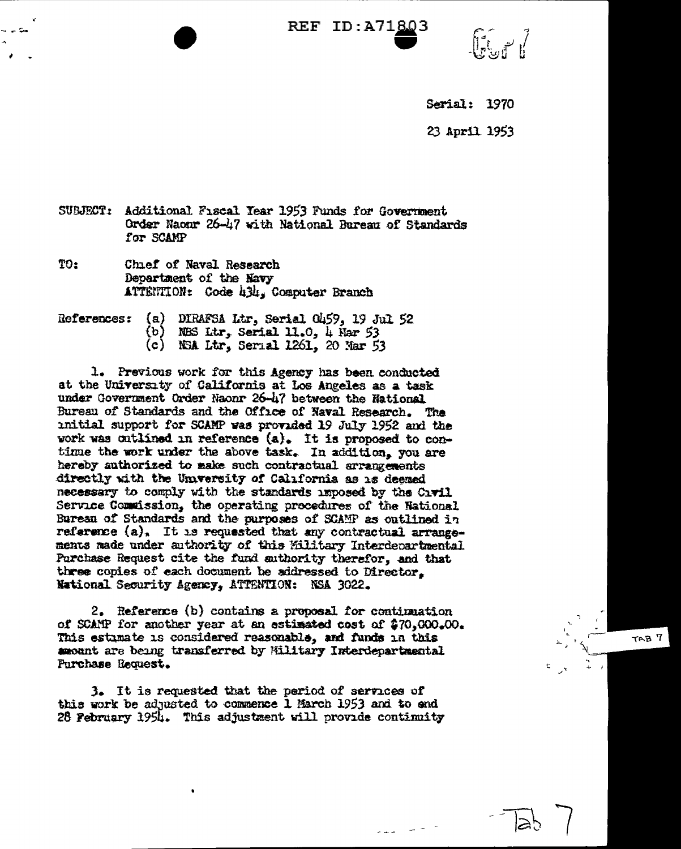$\mathbb{R}$  ,  $\mathbb{R}$ 

TAB<sub>7</sub>

**Serial: 1970** 

23 April 1953

SUBJECT: Additional Fiscal Year 1953 Funds for Government Order Naonr 26-47 with National Bureau of Standards for SCAMP

TO: Chief of Naval Research Department of the Navy ATTENTION: Code 434, Computer Branch

References:  $(a)$ DIRAFSA Ltr. Serial 0459, 19 Jul 52  $(b)$ NES Ltr, Serial 11.0, 4 Har 53 NSA Ltr, Serial 1261, 20 Mar 53  $(c)$ 

1. Previous work for this Agency has been conducted at the University of Californis at Los Angeles as a task under Government Order Naonr 26-47 between the National Bureau of Standards and the Office of Naval Research. The mitial support for SCAMP was provided 19 July 1952 and the work was outlined in reference (a). It is proposed to contime the work under the above task. In addition, you are hereby authorized to make such contractual arrangements directly with the University of California as is deemed necessary to comply with the standards imposed by the Civil Service Commission, the operating procedures of the National Burean of Standards and the purposes of SCAMP as outlined in reference (a). It is requested that any contractual arrangements made under authority of this Hilitary Interdepartmental Purchase Request cite the fund authority therefor, and that three copies of each document be addressed to Director. National Security Agency, ATTENTION: NSA 3022.

2. Reference (b) contains a proposal for continuation of SCAMP for another year at an estimated cost of \$70,000.00. This estimate is considered reasonable, and funds in this amount are being transferred by Military Interdepartmental Purchase Request.

3. It is requested that the period of services of this work be adjusted to commence 1 March 1953 and to end 28 February 1954. This adjustment will provide continuity